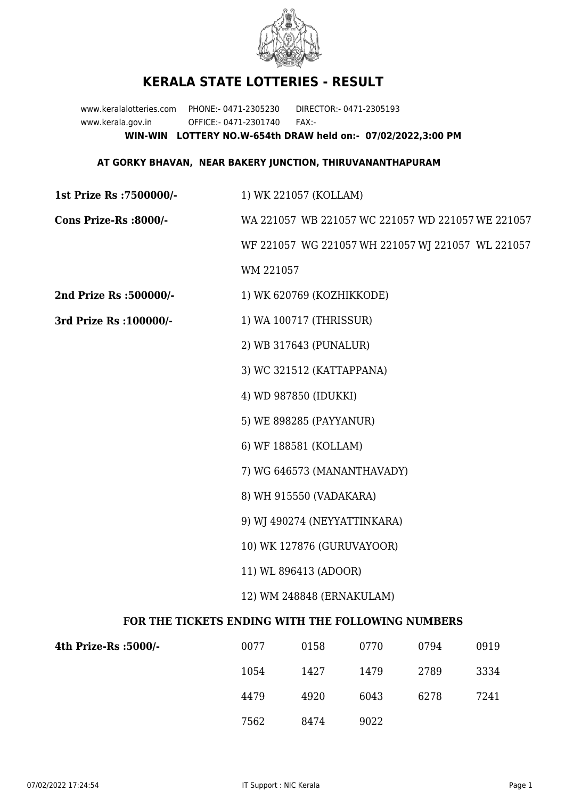

## **KERALA STATE LOTTERIES - RESULT**

www.keralalotteries.com PHONE:- 0471-2305230 DIRECTOR:- 0471-2305193 www.kerala.gov.in OFFICE:- 0471-2301740 FAX:- **WIN-WIN LOTTERY NO.W-654th DRAW held on:- 07/02/2022,3:00 PM**

## **AT GORKY BHAVAN, NEAR BAKERY JUNCTION, THIRUVANANTHAPURAM**

| <b>1st Prize Rs: 7500000/-</b>                    | 1) WK 221057 (KOLLAM)                             |      |      |      |                                                   |  |
|---------------------------------------------------|---------------------------------------------------|------|------|------|---------------------------------------------------|--|
| Cons Prize-Rs :8000/-                             | WA 221057 WB 221057 WC 221057 WD 221057 WE 221057 |      |      |      |                                                   |  |
|                                                   |                                                   |      |      |      | WF 221057 WG 221057 WH 221057 WJ 221057 WL 221057 |  |
|                                                   | WM 221057                                         |      |      |      |                                                   |  |
| 2nd Prize Rs :500000/-                            | 1) WK 620769 (KOZHIKKODE)                         |      |      |      |                                                   |  |
| 3rd Prize Rs : 100000/-                           | 1) WA 100717 (THRISSUR)                           |      |      |      |                                                   |  |
|                                                   | 2) WB 317643 (PUNALUR)                            |      |      |      |                                                   |  |
|                                                   | 3) WC 321512 (KATTAPPANA)                         |      |      |      |                                                   |  |
|                                                   | 4) WD 987850 (IDUKKI)                             |      |      |      |                                                   |  |
|                                                   | 5) WE 898285 (PAYYANUR)                           |      |      |      |                                                   |  |
|                                                   | 6) WF 188581 (KOLLAM)                             |      |      |      |                                                   |  |
|                                                   | 7) WG 646573 (MANANTHAVADY)                       |      |      |      |                                                   |  |
|                                                   | 8) WH 915550 (VADAKARA)                           |      |      |      |                                                   |  |
|                                                   | 9) WJ 490274 (NEYYATTINKARA)                      |      |      |      |                                                   |  |
|                                                   | 10) WK 127876 (GURUVAYOOR)                        |      |      |      |                                                   |  |
|                                                   | 11) WL 896413 (ADOOR)                             |      |      |      |                                                   |  |
|                                                   | 12) WM 248848 (ERNAKULAM)                         |      |      |      |                                                   |  |
| FOR THE TICKETS ENDING WITH THE FOLLOWING NUMBERS |                                                   |      |      |      |                                                   |  |
| 4th Prize-Rs :5000/-                              | 0077                                              | 0158 | 0770 | 0794 | 0919                                              |  |

| th Prize-Rs :5000/- | 0077 | 0158 | 0770 | 0794 | 0919 |
|---------------------|------|------|------|------|------|
|                     | 1054 | 1427 | 1479 | 2789 | 3334 |
|                     | 4479 | 4920 | 6043 | 6278 | 7241 |
|                     | 7562 | 8474 | 9022 |      |      |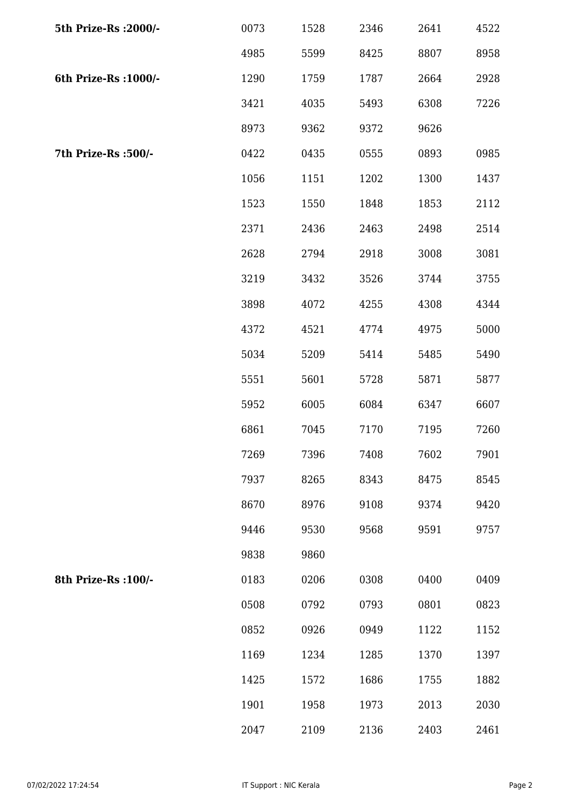| 5th Prize-Rs : 2000/- | 0073 | 1528 | 2346 | 2641 | 4522 |
|-----------------------|------|------|------|------|------|
|                       | 4985 | 5599 | 8425 | 8807 | 8958 |
| 6th Prize-Rs : 1000/- | 1290 | 1759 | 1787 | 2664 | 2928 |
|                       | 3421 | 4035 | 5493 | 6308 | 7226 |
|                       | 8973 | 9362 | 9372 | 9626 |      |
| 7th Prize-Rs :500/-   | 0422 | 0435 | 0555 | 0893 | 0985 |
|                       | 1056 | 1151 | 1202 | 1300 | 1437 |
|                       | 1523 | 1550 | 1848 | 1853 | 2112 |
|                       | 2371 | 2436 | 2463 | 2498 | 2514 |
|                       | 2628 | 2794 | 2918 | 3008 | 3081 |
|                       | 3219 | 3432 | 3526 | 3744 | 3755 |
|                       | 3898 | 4072 | 4255 | 4308 | 4344 |
|                       | 4372 | 4521 | 4774 | 4975 | 5000 |
|                       | 5034 | 5209 | 5414 | 5485 | 5490 |
|                       | 5551 | 5601 | 5728 | 5871 | 5877 |
|                       | 5952 | 6005 | 6084 | 6347 | 6607 |
|                       | 6861 | 7045 | 7170 | 7195 | 7260 |
|                       | 7269 | 7396 | 7408 | 7602 | 7901 |
|                       | 7937 | 8265 | 8343 | 8475 | 8545 |
|                       | 8670 | 8976 | 9108 | 9374 | 9420 |
|                       | 9446 | 9530 | 9568 | 9591 | 9757 |
|                       | 9838 | 9860 |      |      |      |
| 8th Prize-Rs : 100/-  | 0183 | 0206 | 0308 | 0400 | 0409 |
|                       | 0508 | 0792 | 0793 | 0801 | 0823 |
|                       | 0852 | 0926 | 0949 | 1122 | 1152 |
|                       | 1169 | 1234 | 1285 | 1370 | 1397 |
|                       | 1425 | 1572 | 1686 | 1755 | 1882 |
|                       | 1901 | 1958 | 1973 | 2013 | 2030 |
|                       | 2047 | 2109 | 2136 | 2403 | 2461 |